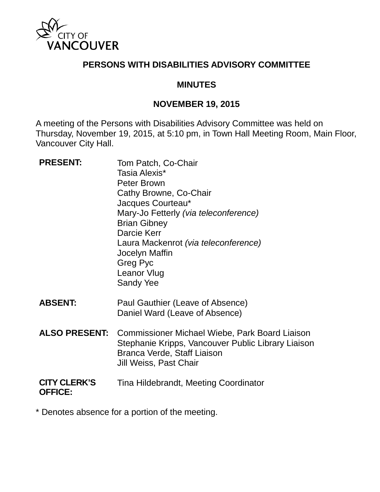

#### **PERSONS WITH DISABILITIES ADVISORY COMMITTEE**

#### **MINUTES**

#### **NOVEMBER 19, 2015**

A meeting of the Persons with Disabilities Advisory Committee was held on Thursday, November 19, 2015, at 5:10 pm, in Town Hall Meeting Room, Main Floor, Vancouver City Hall.

| <b>PRESENT:</b>                       | Tom Patch, Co-Chair<br>Tasia Alexis*<br><b>Peter Brown</b><br>Cathy Browne, Co-Chair<br>Jacques Courteau*<br>Mary-Jo Fetterly (via teleconference)<br><b>Brian Gibney</b><br>Darcie Kerr<br>Laura Mackenrot (via teleconference)<br>Jocelyn Maffin<br>Greg Pyc<br>Leanor Vlug<br><b>Sandy Yee</b> |
|---------------------------------------|---------------------------------------------------------------------------------------------------------------------------------------------------------------------------------------------------------------------------------------------------------------------------------------------------|
| <b>ABSENT:</b>                        | Paul Gauthier (Leave of Absence)<br>Daniel Ward (Leave of Absence)                                                                                                                                                                                                                                |
| <b>ALSO PRESENT:</b>                  | Commissioner Michael Wiebe, Park Board Liaison<br>Stephanie Kripps, Vancouver Public Library Liaison<br>Branca Verde, Staff Liaison<br>Jill Weiss, Past Chair                                                                                                                                     |
| <b>CITY CLERK'S</b><br><b>OFFICE:</b> | Tina Hildebrandt, Meeting Coordinator                                                                                                                                                                                                                                                             |

\* Denotes absence for a portion of the meeting.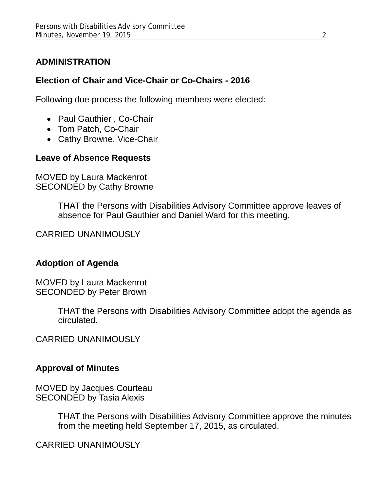## **ADMINISTRATION**

## **Election of Chair and Vice-Chair or Co-Chairs - 2016**

Following due process the following members were elected:

- Paul Gauthier , Co-Chair
- Tom Patch, Co-Chair
- Cathy Browne, Vice-Chair

# **Leave of Absence Requests**

MOVED by Laura Mackenrot SECONDED by Cathy Browne

> THAT the Persons with Disabilities Advisory Committee approve leaves of absence for Paul Gauthier and Daniel Ward for this meeting.

CARRIED UNANIMOUSLY

## **Adoption of Agenda**

MOVED by Laura Mackenrot SECONDED by Peter Brown

> THAT the Persons with Disabilities Advisory Committee adopt the agenda as circulated.

CARRIED UNANIMOUSLY

## **Approval of Minutes**

MOVED by Jacques Courteau SECONDED by Tasia Alexis

> THAT the Persons with Disabilities Advisory Committee approve the minutes from the meeting held September 17, 2015, as circulated.

CARRIED UNANIMOUSLY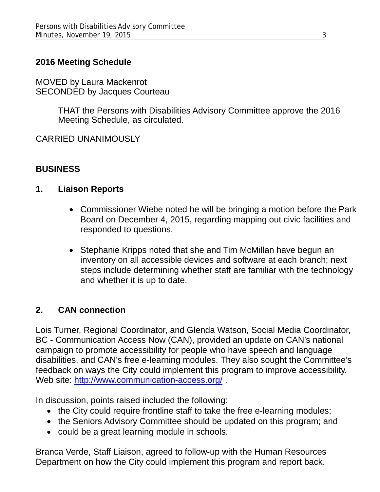## **2016 Meeting Schedule**

MOVED by Laura Mackenrot SECONDED by Jacques Courteau

> THAT the Persons with Disabilities Advisory Committee approve the 2016 Meeting Schedule, as circulated.

CARRIED UNANIMOUSLY

#### **BUSINESS**

#### **1. Liaison Reports**

- Commissioner Wiebe noted he will be bringing a motion before the Park Board on December 4, 2015, regarding mapping out civic facilities and responded to questions.
- Stephanie Kripps noted that she and Tim McMillan have begun an inventory on all accessible devices and software at each branch; next steps include determining whether staff are familiar with the technology and whether it is up to date.

## **2. CAN connection**

Lois Turner, Regional Coordinator, and Glenda Watson, Social Media Coordinator, BC - Communication Access Now (CAN), provided an update on CAN's national campaign to promote accessibility for people who have speech and language disabilities, and CAN's free e-learning modules. They also sought the Committee's feedback on ways the City could implement this program to improve accessibility. Web site:<http://www.communication-access.org/>

In discussion, points raised included the following:

- the City could require frontline staff to take the free e-learning modules;
- the Seniors Advisory Committee should be updated on this program; and
- could be a great learning module in schools.

Branca Verde, Staff Liaison, agreed to follow-up with the Human Resources Department on how the City could implement this program and report back.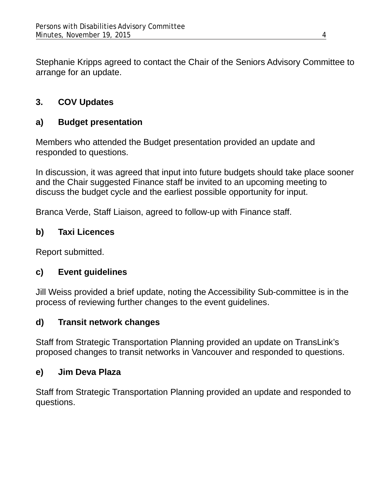Stephanie Kripps agreed to contact the Chair of the Seniors Advisory Committee to arrange for an update.

# **3. COV Updates**

# **a) Budget presentation**

Members who attended the Budget presentation provided an update and responded to questions.

In discussion, it was agreed that input into future budgets should take place sooner and the Chair suggested Finance staff be invited to an upcoming meeting to discuss the budget cycle and the earliest possible opportunity for input.

Branca Verde, Staff Liaison, agreed to follow-up with Finance staff.

# **b) Taxi Licences**

Report submitted.

## **c) Event guidelines**

Jill Weiss provided a brief update, noting the Accessibility Sub-committee is in the process of reviewing further changes to the event guidelines.

## **d) Transit network changes**

Staff from Strategic Transportation Planning provided an update on TransLink's proposed changes to transit networks in Vancouver and responded to questions.

## **e) Jim Deva Plaza**

Staff from Strategic Transportation Planning provided an update and responded to questions.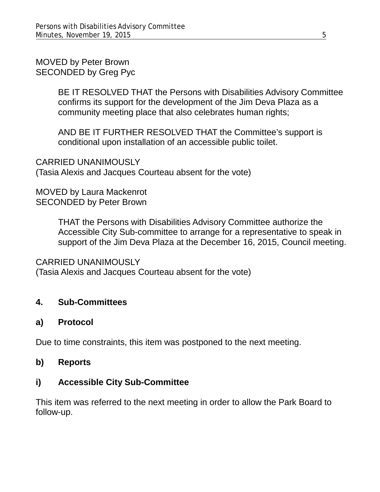MOVED by Peter Brown SECONDED by Greg Pyc

> BE IT RESOLVED THAT the Persons with Disabilities Advisory Committee confirms its support for the development of the Jim Deva Plaza as a community meeting place that also celebrates human rights;

AND BE IT FURTHER RESOLVED THAT the Committee's support is conditional upon installation of an accessible public toilet.

CARRIED UNANIMOUSLY (Tasia Alexis and Jacques Courteau absent for the vote)

MOVED by Laura Mackenrot SECONDED by Peter Brown

> THAT the Persons with Disabilities Advisory Committee authorize the Accessible City Sub-committee to arrange for a representative to speak in support of the Jim Deva Plaza at the December 16, 2015, Council meeting.

#### CARRIED UNANIMOUSLY

(Tasia Alexis and Jacques Courteau absent for the vote)

## **4. Sub-Committees**

## **a) Protocol**

Due to time constraints, this item was postponed to the next meeting.

#### **b) Reports**

## **i) Accessible City Sub-Committee**

This item was referred to the next meeting in order to allow the Park Board to follow-up.